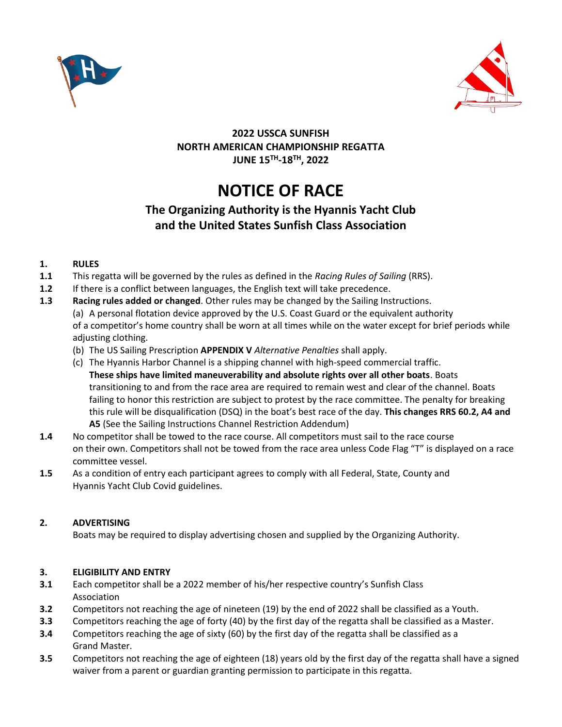



## **2022 USSCA SUNFISH NORTH AMERICAN CHAMPIONSHIP REGATTA JUNE 15 TH -18TH, 2022**

# **NOTICE OF RACE**

## **The Organizing Authority is the Hyannis Yacht Club and the United States Sunfish Class Association**

## **1. RULES**

- **1.1** This regatta will be governed by the rules as defined in the *Racing Rules of Sailing* (RRS).
- **1.2** If there is a conflict between languages, the English text will take precedence.
- **1.3 Racing rules added or changed**. Other rules may be changed by the Sailing Instructions. (a) A personal flotation device approved by the U.S. Coast Guard or the equivalent authority of a competitor's home country shall be worn at all times while on the water except for brief periods while adjusting clothing.
	- (b) The US Sailing Prescription **APPENDIX V** *Alternative Penalties* shall apply.
	- (c) The Hyannis Harbor Channel is a shipping channel with high-speed commercial traffic. **These ships have limited maneuverability and absolute rights over all other boats**. Boats transitioning to and from the race area are required to remain west and clear of the channel. Boats failing to honor this restriction are subject to protest by the race committee. The penalty for breaking this rule will be disqualification (DSQ) in the boat's best race of the day. **This changes RRS 60.2, A4 and A5** (See the Sailing Instructions Channel Restriction Addendum)
- **1.4** No competitor shall be towed to the race course. All competitors must sail to the race course on their own. Competitors shall not be towed from the race area unless Code Flag "T" is displayed on a race committee vessel.
- **1.5** As a condition of entry each participant agrees to comply with all Federal, State, County and Hyannis Yacht Club Covid guidelines.

## **2. ADVERTISING**

Boats may be required to display advertising chosen and supplied by the Organizing Authority.

## **3. ELIGIBILITY AND ENTRY**

- **3.1** Each competitor shall be a 2022 member of his/her respective country's Sunfish Class Association
- **3.2** Competitors not reaching the age of nineteen (19) by the end of 2022 shall be classified as a Youth.
- **3.3** Competitors reaching the age of forty (40) by the first day of the regatta shall be classified as a Master.
- **3.4** Competitors reaching the age of sixty (60) by the first day of the regatta shall be classified as a Grand Master.
- **3.5** Competitors not reaching the age of eighteen (18) years old by the first day of the regatta shall have a signed waiver from a parent or guardian granting permission to participate in this regatta.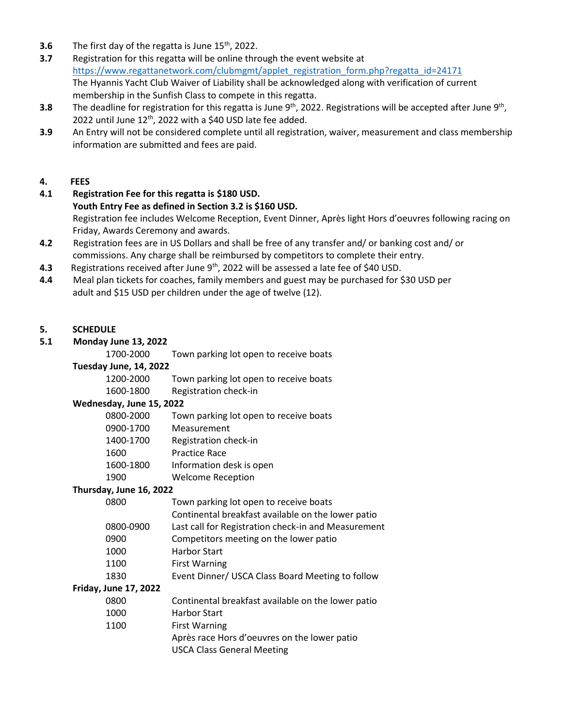- **3.6** The first day of the regatta is June 15<sup>th</sup>, 2022.
- **3.7** Registration for this regatta will be online through the event website at [https://www.regattanetwork.com/clubmgmt/applet\\_registration\\_form.php?regatta\\_id=24171](https://www.regattanetwork.com/clubmgmt/applet_registration_form.php?regatta_id=24171) The Hyannis Yacht Club Waiver of Liability shall be acknowledged along with verification of current membership in the Sunfish Class to compete in this regatta.
- **3.8** The deadline for registration for this regatta is June 9<sup>th</sup>, 2022. Registrations will be accepted after June 9<sup>th</sup>, 2022 until June  $12<sup>th</sup>$ , 2022 with a \$40 USD late fee added.
- **3.9** An Entry will not be considered complete until all registration, waiver, measurement and class membership information are submitted and fees are paid.

#### **4. FEES**

- **4.1 Registration Fee for this regatta is \$180 USD. Youth Entry Fee as defined in Section 3.2 is \$160 USD.** Registration fee includes Welcome Reception, Event Dinner, Après light Hors d'oeuvres following racing on Friday, Awards Ceremony and awards.
- **4.2** Registration fees are in US Dollars and shall be free of any transfer and/ or banking cost and/ or commissions. Any charge shall be reimbursed by competitors to complete their entry.
- **4.3** Registrations received after June 9<sup>th</sup>, 2022 will be assessed a late fee of \$40 USD.
- **4.4** Meal plan tickets for coaches, family members and guest may be purchased for \$30 USD per adult and \$15 USD per children under the age of twelve (12).

#### **5. SCHEDULE**

#### **5.1 Monday June 13, 2022**

1700-2000 Town parking lot open to receive boats

#### **Tuesday June, 14, 2022**

1200-2000 Town parking lot open to receive boats

1600-1800 Registration check-in

#### **Wednesday, June 15, 2022**

| 0800-2000 | Town parking lot open to receive boats |
|-----------|----------------------------------------|
| 0900-1700 | Measurement                            |
| 1400-1700 | Registration check-in                  |
| 1600      | <b>Practice Race</b>                   |
| 1600-1800 | Information desk is open               |
| 1900      | <b>Welcome Reception</b>               |
|           |                                        |

#### **Thursday, June 16, 2022**

| 0800      | Town parking lot open to receive boats              |
|-----------|-----------------------------------------------------|
|           | Continental breakfast available on the lower patio  |
| 0800-0900 | Last call for Registration check-in and Measurement |
| 0900      | Competitors meeting on the lower patio              |
| 1000      | <b>Harbor Start</b>                                 |
| 1100      | <b>First Warning</b>                                |
|           |                                                     |

1830 Event Dinner/ USCA Class Board Meeting to follow

## **Friday, June 17, 2022**

| 0800 | Continental breakfast available on the lower patio |
|------|----------------------------------------------------|
| 1000 | <b>Harbor Start</b>                                |
| 1100 | <b>First Warning</b>                               |
|      | Après race Hors d'oeuvres on the lower patio       |
|      | <b>USCA Class General Meeting</b>                  |
|      |                                                    |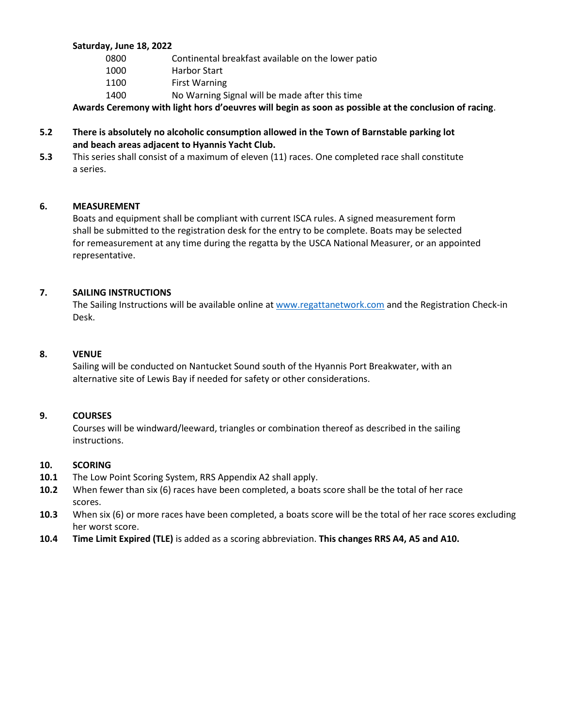#### **Saturday, June 18, 2022**

| 0800 | Continental breakfast available on the lower patio |
|------|----------------------------------------------------|
| 1000 | <b>Harbor Start</b>                                |
| 1100 | <b>First Warning</b>                               |
| 1400 | No Warning Signal will be made after this time     |

**Awards Ceremony with light hors d'oeuvres will begin as soon as possible at the conclusion of racing**.

#### **5.2 There is absolutely no alcoholic consumption allowed in the Town of Barnstable parking lot and beach areas adjacent to Hyannis Yacht Club.**

**5.3** This series shall consist of a maximum of eleven (11) races. One completed race shall constitute a series.

#### **6. MEASUREMENT**

Boats and equipment shall be compliant with current ISCA rules. A signed measurement form shall be submitted to the registration desk for the entry to be complete. Boats may be selected for remeasurement at any time during the regatta by the USCA National Measurer, or an appointed representative.

#### **7. SAILING INSTRUCTIONS**

The Sailing Instructions will be available online a[t www.regattanetwork.com](http://www.regattanetwork.com/) and the Registration Check-in Desk.

#### **8. VENUE**

Sailing will be conducted on Nantucket Sound south of the Hyannis Port Breakwater, with an alternative site of Lewis Bay if needed for safety or other considerations.

#### **9. COURSES**

Courses will be windward/leeward, triangles or combination thereof as described in the sailing instructions.

#### **10. SCORING**

- **10.1** The Low Point Scoring System, RRS Appendix A2 shall apply.
- **10.2** When fewer than six (6) races have been completed, a boats score shall be the total of her race scores.
- **10.3** When six (6) or more races have been completed, a boats score will be the total of her race scores excluding her worst score.
- **10.4 Time Limit Expired (TLE)** is added as a scoring abbreviation. **This changes RRS A4, A5 and A10.**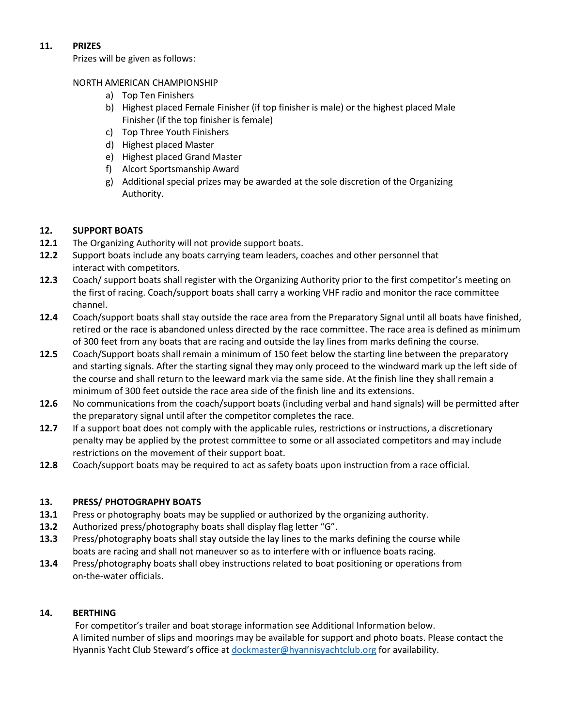## **11. PRIZES**

Prizes will be given as follows:

#### NORTH AMERICAN CHAMPIONSHIP

- a) Top Ten Finishers
- b) Highest placed Female Finisher (if top finisher is male) or the highest placed Male Finisher (if the top finisher is female)
- c) Top Three Youth Finishers
- d) Highest placed Master
- e) Highest placed Grand Master
- f) Alcort Sportsmanship Award
- g) Additional special prizes may be awarded at the sole discretion of the Organizing Authority.

## **12. SUPPORT BOATS**

- **12.1** The Organizing Authority will not provide support boats.
- **12.2** Support boats include any boats carrying team leaders, coaches and other personnel that interact with competitors.
- **12.3** Coach/ support boats shall register with the Organizing Authority prior to the first competitor's meeting on the first of racing. Coach/support boats shall carry a working VHF radio and monitor the race committee channel.
- **12.4** Coach/support boats shall stay outside the race area from the Preparatory Signal until all boats have finished, retired or the race is abandoned unless directed by the race committee. The race area is defined as minimum of 300 feet from any boats that are racing and outside the lay lines from marks defining the course.
- **12.5** Coach/Support boats shall remain a minimum of 150 feet below the starting line between the preparatory and starting signals. After the starting signal they may only proceed to the windward mark up the left side of the course and shall return to the leeward mark via the same side. At the finish line they shall remain a minimum of 300 feet outside the race area side of the finish line and its extensions.
- **12.6** No communications from the coach/support boats (including verbal and hand signals) will be permitted after the preparatory signal until after the competitor completes the race.
- **12.7** If a support boat does not comply with the applicable rules, restrictions or instructions, a discretionary penalty may be applied by the protest committee to some or all associated competitors and may include restrictions on the movement of their support boat.
- **12.8** Coach/support boats may be required to act as safety boats upon instruction from a race official.

## **13. PRESS/ PHOTOGRAPHY BOATS**

- **13.1** Press or photography boats may be supplied or authorized by the organizing authority.
- **13.2** Authorized press/photography boats shall display flag letter "G".
- **13.3** Press/photography boats shall stay outside the lay lines to the marks defining the course while boats are racing and shall not maneuver so as to interfere with or influence boats racing.
- **13.4** Press/photography boats shall obey instructions related to boat positioning or operations from on-the-water officials.

#### **14. BERTHING**

For competitor's trailer and boat storage information see Additional Information below. A limited number of slips and moorings may be available for support and photo boats. Please contact the Hyannis Yacht Club Steward's office at [dockmaster@hyannisyachtclub.org](mailto:dockmaster@hyannisyachtclub.org) for availability.